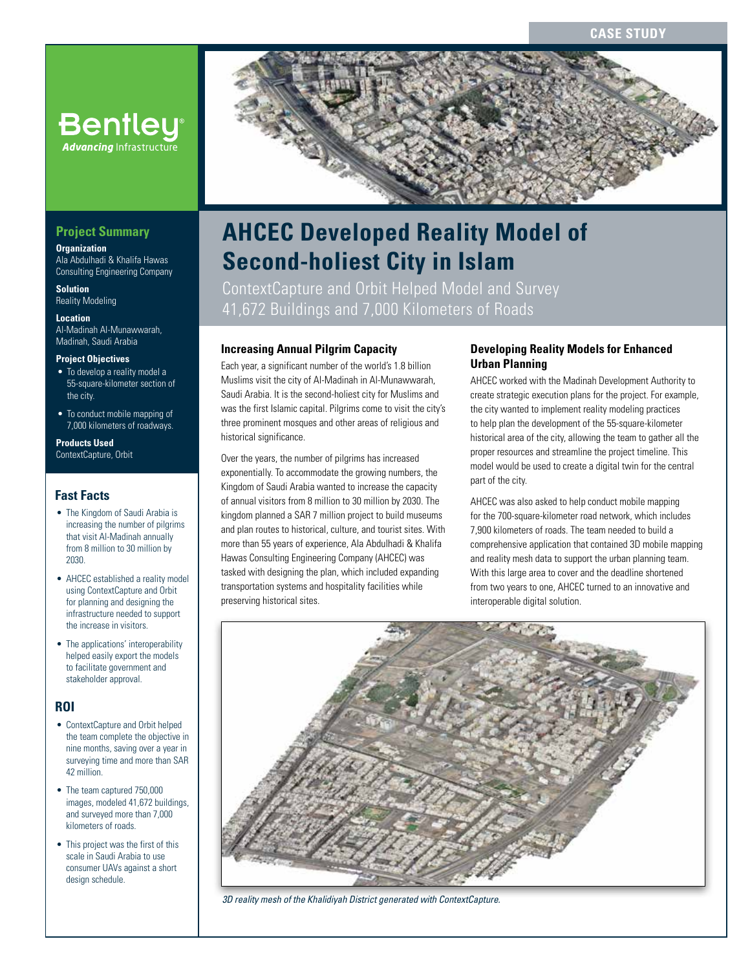

# **AHCEC Developed Reality Model of Second-holiest City in Islam**

ContextCapture and Orbit Helped Model and Survey 41,672 Buildings and 7,000 Kilometers of Roads

## **Increasing Annual Pilgrim Capacity**

Each year, a significant number of the world's 1.8 billion Muslims visit the city of Al-Madinah in Al-Munawwarah, Saudi Arabia. It is the second-holiest city for Muslims and was the first Islamic capital. Pilgrims come to visit the city's three prominent mosques and other areas of religious and historical significance.

Over the years, the number of pilgrims has increased exponentially. To accommodate the growing numbers, the Kingdom of Saudi Arabia wanted to increase the capacity of annual visitors from 8 million to 30 million by 2030. The kingdom planned a SAR 7 million project to build museums and plan routes to historical, culture, and tourist sites. With more than 55 years of experience, Ala Abdulhadi & Khalifa Hawas Consulting Engineering Company (AHCEC) was tasked with designing the plan, which included expanding transportation systems and hospitality facilities while preserving historical sites.

## **Developing Reality Models for Enhanced Urban Planning**

AHCEC worked with the Madinah Development Authority to create strategic execution plans for the project. For example, the city wanted to implement reality modeling practices to help plan the development of the 55-square-kilometer historical area of the city, allowing the team to gather all the proper resources and streamline the project timeline. This model would be used to create a digital twin for the central part of the city.

AHCEC was also asked to help conduct mobile mapping for the 700-square-kilometer road network, which includes 7,900 kilometers of roads. The team needed to build a comprehensive application that contained 3D mobile mapping and reality mesh data to support the urban planning team. With this large area to cover and the deadline shortened from two years to one, AHCEC turned to an innovative and interoperable digital solution.



*3D reality mesh of the Khalidiyah District generated with ContextCapture.*

# **Project Summary**

#### **Organization**

Ala Abdulhadi & Khalifa Hawas Consulting Engineering Company

**Bentley**® **Advancing Infrastructure** 

**Solution** Reality Modeling

#### **Location**

Al-Madinah Al-Munawwarah, Madinah, Saudi Arabia

#### **Project Objectives**

- To develop a reality model a 55-square-kilometer section of the city.
- To conduct mobile mapping of 7,000 kilometers of roadways.

#### **Products Used** ContextCapture, Orbit

### **Fast Facts**

- The Kingdom of Saudi Arabia is increasing the number of pilgrims that visit Al-Madinah annually from 8 million to 30 million by 2030.
- AHCEC established a reality model using ContextCapture and Orbit for planning and designing the infrastructure needed to support the increase in visitors.
- The applications' interoperability helped easily export the models to facilitate government and stakeholder approval.

## **ROI**

- ContextCapture and Orbit helped the team complete the objective in nine months, saving over a year in surveying time and more than SAR 42 million.
- The team captured 750,000 images, modeled 41,672 buildings, and surveyed more than 7,000 kilometers of roads.
- This project was the first of this scale in Saudi Arabia to use consumer UAVs against a short design schedule.